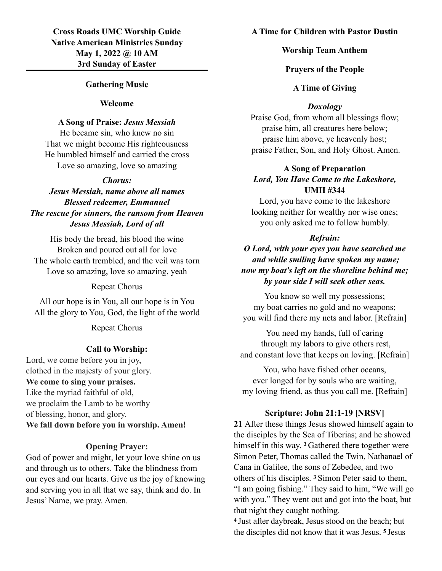# **Cross Roads UMC Worship Guide Native American Ministries Sunday May 1, 2022 @ 10 AM 3rd Sunday of Easter**

## **Gathering Music**

#### **Welcome**

#### **A Song of Praise:** *Jesus Messiah*

He became sin, who knew no sin That we might become His righteousness He humbled himself and carried the cross Love so amazing, love so amazing

### *Chorus:*

# *Jesus Messiah, name above all names Blessed redeemer, Emmanuel The rescue for sinners, the ransom from Heaven Jesus Messiah, Lord of all*

His body the bread, his blood the wine Broken and poured out all for love The whole earth trembled, and the veil was torn Love so amazing, love so amazing, yeah

Repeat Chorus

All our hope is in You, all our hope is in You All the glory to You, God, the light of the world

Repeat Chorus

## **Call to Worship:**

Lord, we come before you in joy, clothed in the majesty of your glory. **We come to sing your praises.** Like the myriad faithful of old, we proclaim the Lamb to be worthy of blessing, honor, and glory. **We fall down before you in worship. Amen!**

#### **Opening Prayer:**

God of power and might, let your love shine on us and through us to others. Take the blindness from our eyes and our hearts. Give us the joy of knowing and serving you in all that we say, think and do. In Jesus' Name, we pray. Amen.

## **A Time for Children with Pastor Dustin**

#### **Worship Team Anthem**

#### **Prayers of the People**

## **A Time of Giving**

## *Doxology*

Praise God, from whom all blessings flow; praise him, all creatures here below; praise him above, ye heavenly host; praise Father, Son, and Holy Ghost. Amen.

# **A Song of Preparation** *Lord, You Have Come to the Lakeshore,* **UMH #344**

Lord, you have come to the lakeshore looking neither for wealthy nor wise ones; you only asked me to follow humbly.

#### *Refrain:*

*O Lord, with your eyes you have searched me and while smiling have spoken my name; now my boat's left on the shoreline behind me; by your side I will seek other seas.*

You know so well my possessions; my boat carries no gold and no weapons; you will find there my nets and labor. [Refrain]

You need my hands, full of caring through my labors to give others rest, and constant love that keeps on loving. [Refrain]

You, who have fished other oceans, ever longed for by souls who are waiting, my loving friend, as thus you call me. [Refrain]

## **Scripture: John 21:1-19 [NRSV]**

**21** After these things Jesus showed himself again to the disciples by the Sea of Tiberias; and he showed himself in this way. **2** Gathered there together were Simon Peter, Thomas called the Twin, Nathanael of Cana in Galilee, the sons of Zebedee, and two others of his disciples. **3** Simon Peter said to them, "I am going fishing." They said to him, "We will go with you." They went out and got into the boat, but that night they caught nothing.

**<sup>4</sup>**Just after daybreak, Jesus stood on the beach; but the disciples did not know that it was Jesus. **5** Jesus